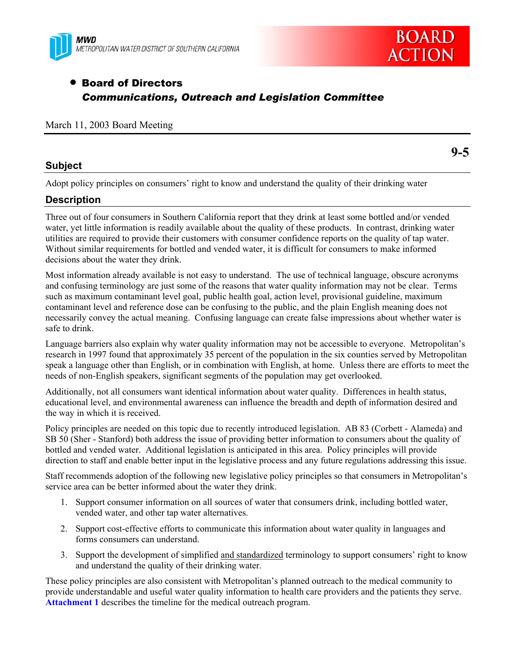



**9-5** 

# • Board of Directors *Communications, Outreach and Legislation Committee*

#### March 11, 2003 Board Meeting

#### **Subject**

Adopt policy principles on consumers' right to know and understand the quality of their drinking water

### **Description**

Three out of four consumers in Southern California report that they drink at least some bottled and/or vended water, yet little information is readily available about the quality of these products. In contrast, drinking water utilities are required to provide their customers with consumer confidence reports on the quality of tap water. Without similar requirements for bottled and vended water, it is difficult for consumers to make informed decisions about the water they drink.

Most information already available is not easy to understand. The use of technical language, obscure acronyms and confusing terminology are just some of the reasons that water quality information may not be clear. Terms such as maximum contaminant level goal, public health goal, action level, provisional guideline, maximum contaminant level and reference dose can be confusing to the public, and the plain English meaning does not necessarily convey the actual meaning. Confusing language can create false impressions about whether water is safe to drink.

Language barriers also explain why water quality information may not be accessible to everyone. Metropolitan's research in 1997 found that approximately 35 percent of the population in the six counties served by Metropolitan speak a language other than English, or in combination with English, at home. Unless there are efforts to meet the needs of non-English speakers, significant segments of the population may get overlooked.

Additionally, not all consumers want identical information about water quality. Differences in health status, educational level, and environmental awareness can influence the breadth and depth of information desired and the way in which it is received.

Policy principles are needed on this topic due to recently introduced legislation. AB 83 (Corbett - Alameda) and SB 50 (Sher - Stanford) both address the issue of providing better information to consumers about the quality of bottled and vended water. Additional legislation is anticipated in this area. Policy principles will provide direction to staff and enable better input in the legislative process and any future regulations addressing this issue.

Staff recommends adoption of the following new legislative policy principles so that consumers in Metropolitan's service area can be better informed about the water they drink.

- 1. Support consumer information on all sources of water that consumers drink, including bottled water, vended water, and other tap water alternatives.
- 2. Support cost-effective efforts to communicate this information about water quality in languages and forms consumers can understand.
- 3. Support the development of simplified and standardized terminology to support consumers' right to know and understand the quality of their drinking water.

These policy principles are also consistent with Metropolitan's planned outreach to the medical community to provide understandable and useful water quality information to health care providers and the patients they serve. **Attachment 1** describes the timeline for the medical outreach program.